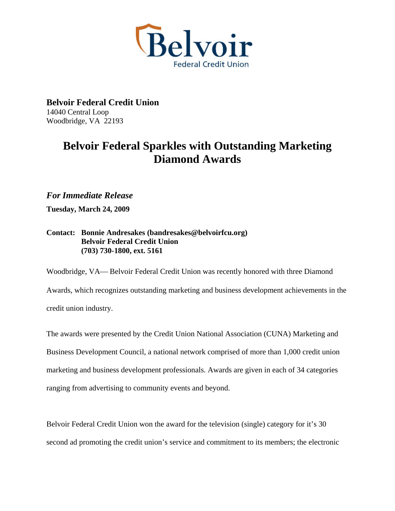

**Belvoir Federal Credit Union**  14040 Central Loop Woodbridge, VA 22193

## **Belvoir Federal Sparkles with Outstanding Marketing Diamond Awards**

*For Immediate Release* 

**Tuesday, March 24, 2009** 

## **Contact: Bonnie Andresakes (bandresakes@belvoirfcu.org) Belvoir Federal Credit Union (703) 730-1800, ext. 5161**

Woodbridge, VA— Belvoir Federal Credit Union was recently honored with three Diamond Awards, which recognizes outstanding marketing and business development achievements in the credit union industry.

The awards were presented by the Credit Union National Association (CUNA) Marketing and Business Development Council, a national network comprised of more than 1,000 credit union marketing and business development professionals. Awards are given in each of 34 categories ranging from advertising to community events and beyond.

Belvoir Federal Credit Union won the award for the television (single) category for it's 30 second ad promoting the credit union's service and commitment to its members; the electronic